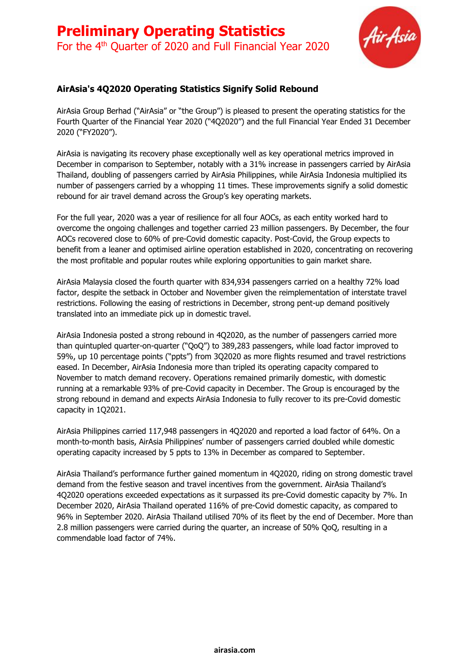# **Preliminary Operating Statistics** For the 4<sup>th</sup> Quarter of 2020 and Full Financial Year 2020



### **AirAsia's 4Q2020 Operating Statistics Signify Solid Rebound**

AirAsia Group Berhad ("AirAsia" or "the Group") is pleased to present the operating statistics for the Fourth Quarter of the Financial Year 2020 ("4Q2020") and the full Financial Year Ended 31 December 2020 ("FY2020").

AirAsia is navigating its recovery phase exceptionally well as key operational metrics improved in December in comparison to September, notably with a 31% increase in passengers carried by AirAsia Thailand, doubling of passengers carried by AirAsia Philippines, while AirAsia Indonesia multiplied its number of passengers carried by a whopping 11 times. These improvements signify a solid domestic rebound for air travel demand across the Group's key operating markets.

For the full year, 2020 was a year of resilience for all four AOCs, as each entity worked hard to overcome the ongoing challenges and together carried 23 million passengers. By December, the four AOCs recovered close to 60% of pre-Covid domestic capacity. Post-Covid, the Group expects to benefit from a leaner and optimised airline operation established in 2020, concentrating on recovering the most profitable and popular routes while exploring opportunities to gain market share.

AirAsia Malaysia closed the fourth quarter with 834,934 passengers carried on a healthy 72% load factor, despite the setback in October and November given the reimplementation of interstate travel restrictions. Following the easing of restrictions in December, strong pent-up demand positively translated into an immediate pick up in domestic travel.

AirAsia Indonesia posted a strong rebound in 4Q2020, as the number of passengers carried more than quintupled quarter-on-quarter ("QoQ") to 389,283 passengers, while load factor improved to 59%, up 10 percentage points ("ppts") from 3Q2020 as more flights resumed and travel restrictions eased. In December, AirAsia Indonesia more than tripled its operating capacity compared to November to match demand recovery. Operations remained primarily domestic, with domestic running at a remarkable 93% of pre-Covid capacity in December. The Group is encouraged by the strong rebound in demand and expects AirAsia Indonesia to fully recover to its pre-Covid domestic capacity in 1Q2021.

AirAsia Philippines carried 117,948 passengers in 4Q2020 and reported a load factor of 64%. On a month-to-month basis, AirAsia Philippines' number of passengers carried doubled while domestic operating capacity increased by 5 ppts to 13% in December as compared to September.

AirAsia Thailand's performance further gained momentum in 4Q2020, riding on strong domestic travel demand from the festive season and travel incentives from the government. AirAsia Thailand's 4Q2020 operations exceeded expectations as it surpassed its pre-Covid domestic capacity by 7%. In December 2020, AirAsia Thailand operated 116% of pre-Covid domestic capacity, as compared to 96% in September 2020. AirAsia Thailand utilised 70% of its fleet by the end of December. More than 2.8 million passengers were carried during the quarter, an increase of 50% QoQ, resulting in a commendable load factor of 74%.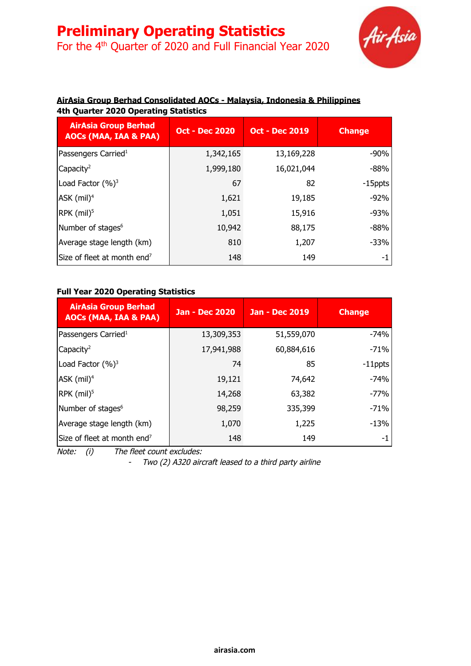For the 4<sup>th</sup> Quarter of 2020 and Full Financial Year 2020



### **AirAsia Group Berhad Consolidated AOCs - Malaysia, Indonesia & Philippines 4th Quarter 2020 Operating Statistics**

| <b>AirAsia Group Berhad</b><br><b>AOCs (MAA, IAA &amp; PAA)</b> | <b>Oct - Dec 2020</b> | <b>Oct - Dec 2019</b> | <b>Change</b> |
|-----------------------------------------------------------------|-----------------------|-----------------------|---------------|
| Passengers Carried <sup>1</sup>                                 | 1,342,165             | 13,169,228            | $-90%$        |
| Capacity <sup>2</sup>                                           | 1,999,180             | 16,021,044            | $-88%$        |
| Load Factor $(\%)^3$                                            | 67                    | 82                    | -15ppts       |
| $ASK$ (mil) <sup>4</sup>                                        | 1,621                 | 19,185                | $-92%$        |
| $RPK$ (mil) <sup>5</sup>                                        | 1,051                 | 15,916                | $-93%$        |
| Number of stages <sup>6</sup>                                   | 10,942                | 88,175                | $-88%$        |
| Average stage length (km)                                       | 810                   | 1,207                 | $-33%$        |
| Size of fleet at month end <sup>7</sup>                         | 148                   | 149                   | -1            |

#### **Full Year 2020 Operating Statistics**

| <b>AirAsia Group Berhad</b><br><b>AOCs (MAA, IAA &amp; PAA)</b> | <b>Jan - Dec 2020</b> | <b>Jan - Dec 2019</b> | <b>Change</b> |
|-----------------------------------------------------------------|-----------------------|-----------------------|---------------|
| Passengers Carried <sup>1</sup>                                 | 13,309,353            | 51,559,070            | $-74%$        |
| Capacity <sup>2</sup>                                           | 17,941,988            | 60,884,616            | $-71%$        |
| Load Factor $(\%)^3$                                            | 74                    | 85                    | $-11$ ppts    |
| ASK $(mil)^4$                                                   | 19,121                | 74,642                | $-74%$        |
| $RPK$ (mil) <sup>5</sup>                                        | 14,268                | 63,382                | $-77%$        |
| Number of stages <sup>6</sup>                                   | 98,259                | 335,399               | $-71%$        |
| Average stage length (km)                                       | 1,070                 | 1,225                 | $-13%$        |
| Size of fleet at month end <sup>7</sup>                         | 148                   | 149                   | -1            |

Note: (i) The fleet count excludes:

- Two (2) A320 aircraft leased to <sup>a</sup> third party airline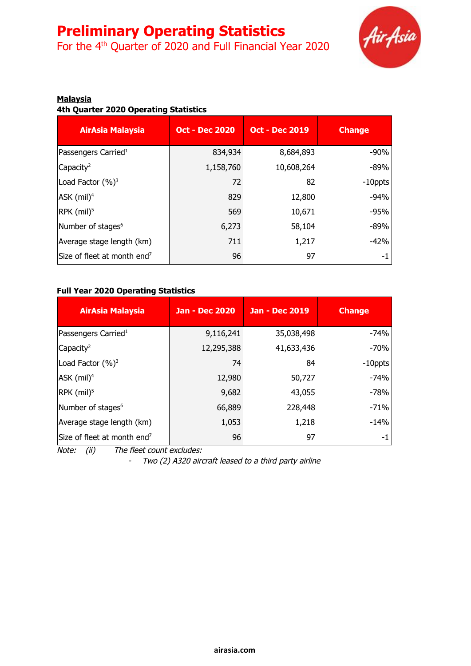For the 4<sup>th</sup> Quarter of 2020 and Full Financial Year 2020



#### **Malaysia**

#### **4th Quarter 2020 Operating Statistics**

| <b>AirAsia Malaysia</b>                 | <b>Oct - Dec 2020</b> | <b>Oct - Dec 2019</b> | <b>Change</b> |
|-----------------------------------------|-----------------------|-----------------------|---------------|
| Passengers Carried <sup>1</sup>         | 834,934               | 8,684,893             | $-90%$        |
| Capacity <sup>2</sup>                   | 1,158,760             | 10,608,264            | $-89%$        |
| Load Factor $(%)^3$                     | 72                    | 82                    | $-10$ ppts    |
| ASK $(mil)^4$                           | 829                   | 12,800                | $-94%$        |
| RPK $(mil)^5$                           | 569                   | 10,671                | $-95%$        |
| Number of stages <sup>6</sup>           | 6,273                 | 58,104                | $-89%$        |
| Average stage length (km)               | 711                   | 1,217                 | $-42%$        |
| Size of fleet at month end <sup>7</sup> | 96                    | 97                    | -1            |

#### **Full Year 2020 Operating Statistics**

| <b>AirAsia Malaysia</b>                 | <b>Jan - Dec 2020</b> | <b>Jan - Dec 2019</b> | <b>Change</b> |
|-----------------------------------------|-----------------------|-----------------------|---------------|
| Passengers Carried <sup>1</sup>         | 9,116,241             | 35,038,498            | $-74%$        |
| Capacity <sup>2</sup>                   | 12,295,388            | 41,633,436            | -70%          |
| Load Factor $(\%)^3$                    | 74                    | 84                    | $-10$ ppts    |
| ASK $(mil)^4$                           | 12,980                | 50,727                | $-74%$        |
| RPK $(mil)^5$                           | 9,682                 | 43,055                | $-78%$        |
| Number of stages <sup>6</sup>           | 66,889                | 228,448               | $-71%$        |
| Average stage length (km)               | 1,053                 | 1,218                 | $-14%$        |
| Size of fleet at month end <sup>7</sup> | 96                    | 97                    | -1            |

Note: (ii) The fleet count excludes:

- Two (2) A320 aircraft leased to <sup>a</sup> third party airline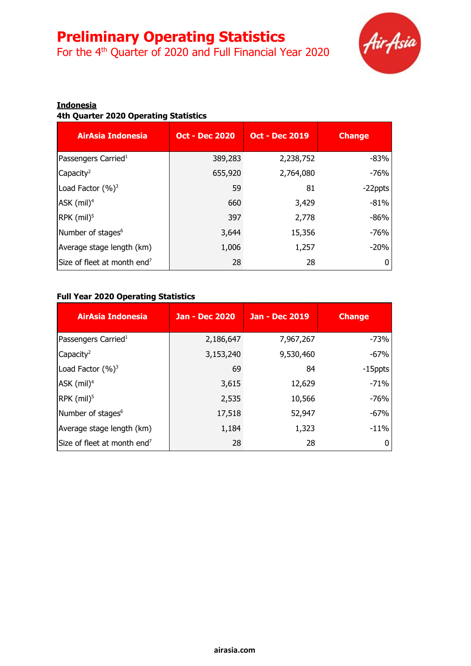For the 4<sup>th</sup> Quarter of 2020 and Full Financial Year 2020



#### **Indonesia**

### **4th Quarter 2020 Operating Statistics**

| <b>AirAsia Indonesia</b>                | <b>Oct - Dec 2020</b> | <b>Oct - Dec 2019</b> | <b>Change</b> |
|-----------------------------------------|-----------------------|-----------------------|---------------|
| Passengers Carried <sup>1</sup>         | 389,283               | 2,238,752             | $-83%$        |
| Capacity <sup>2</sup>                   | 655,920               | 2,764,080             | $-76%$        |
| Load Factor $(%)^3$                     | 59                    | 81                    | -22ppts       |
| $ASK$ (mil) <sup>4</sup>                | 660                   | 3,429                 | $-81%$        |
| $RPK$ (mil) <sup>5</sup>                | 397                   | 2,778                 | $-86%$        |
| Number of stages <sup>6</sup>           | 3,644                 | 15,356                | $-76%$        |
| Average stage length (km)               | 1,006                 | 1,257                 | $-20%$        |
| Size of fleet at month end <sup>7</sup> | 28                    | 28                    |               |

### **Full Year 2020 Operating Statistics**

| <b>AirAsia Indonesia</b>                | <b>Jan - Dec 2020</b> | <b>Jan - Dec 2019</b> | <b>Change</b> |
|-----------------------------------------|-----------------------|-----------------------|---------------|
| Passengers Carried <sup>1</sup>         | 2,186,647             | 7,967,267             | -73%          |
| Capacity <sup>2</sup>                   | 3,153,240             | 9,530,460             | $-67%$        |
| Load Factor $(\%)^3$                    | 69                    | 84                    | -15ppts       |
| ASK $(mil)^4$                           | 3,615                 | 12,629                | $-71%$        |
| RPK $(mil)^5$                           | 2,535                 | 10,566                | $-76%$        |
| Number of stages <sup>6</sup>           | 17,518                | 52,947                | $-67%$        |
| Average stage length (km)               | 1,184                 | 1,323                 | $-11%$        |
| Size of fleet at month end <sup>7</sup> | 28                    | 28                    | 0             |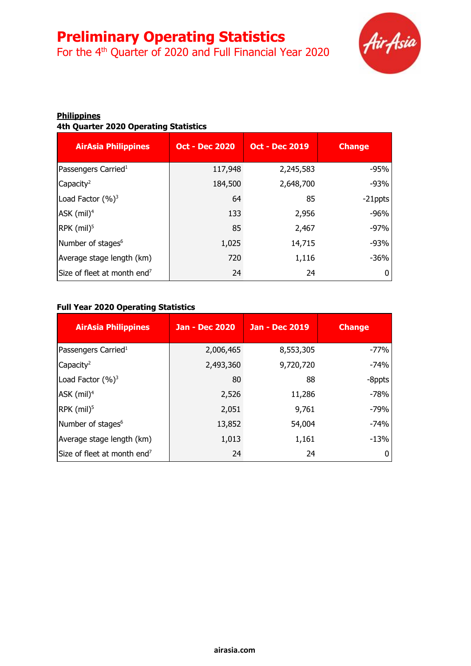For the 4<sup>th</sup> Quarter of 2020 and Full Financial Year 2020



#### **Philippines 4th Quarter 2020 Operating Statistics**

| <b>AirAsia Philippines</b>              | <b>Oct - Dec 2020</b> | <b>Oct - Dec 2019</b> | <b>Change</b> |
|-----------------------------------------|-----------------------|-----------------------|---------------|
| Passengers Carried <sup>1</sup>         | 117,948               | 2,245,583             | $-95%$        |
| Capacity <sup>2</sup>                   | 184,500               | 2,648,700             | $-93%$        |
| Load Factor $(\%)^3$                    | 64                    | 85                    | -21ppts       |
| $ASK$ (mil) <sup>4</sup>                | 133                   | 2,956                 | $-96%$        |
| $RPK$ (mil) <sup>5</sup>                | 85                    | 2,467                 | $-97%$        |
| Number of stages <sup>6</sup>           | 1,025                 | 14,715                | $-93%$        |
| Average stage length (km)               | 720                   | 1,116                 | $-36%$        |
| Size of fleet at month end <sup>7</sup> | 24                    | 24                    |               |

#### **Full Year 2020 Operating Statistics**

| <b>AirAsia Philippines</b>              | <b>Jan - Dec 2020</b> | <b>Jan - Dec 2019</b> | <b>Change</b> |
|-----------------------------------------|-----------------------|-----------------------|---------------|
| Passengers Carried <sup>1</sup>         | 2,006,465             | 8,553,305             | $-77%$        |
| Capacity <sup>2</sup>                   | 2,493,360             | 9,720,720             | -74%          |
| Load Factor $(\%)^3$                    | 80                    | 88                    | -8ppts        |
| ASK $(mil)^4$                           | 2,526                 | 11,286                | $-78%$        |
| RPK $(mil)^5$                           | 2,051                 | 9,761                 | $-79%$        |
| Number of stages <sup>6</sup>           | 13,852                | 54,004                | -74%          |
| Average stage length (km)               | 1,013                 | 1,161                 | $-13%$        |
| Size of fleet at month end <sup>7</sup> | 24                    | 24                    | 0             |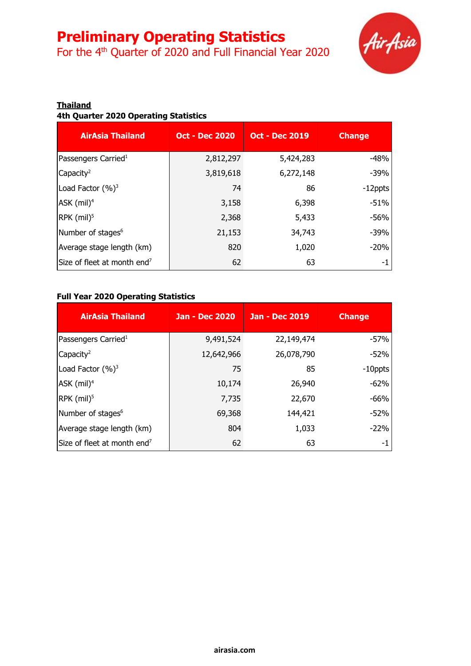For the 4<sup>th</sup> Quarter of 2020 and Full Financial Year 2020



#### **Thailand**

### **4th Quarter 2020 Operating Statistics**

| <b>AirAsia Thailand</b>                 | <b>Oct - Dec 2020</b> | <b>Oct - Dec 2019</b> | <b>Change</b> |
|-----------------------------------------|-----------------------|-----------------------|---------------|
| Passengers Carried <sup>1</sup>         | 2,812,297             | 5,424,283             | $-48%$        |
| Capacity <sup>2</sup>                   | 3,819,618             | 6,272,148             | $-39%$        |
| Load Factor $(\%)^3$                    | 74                    | 86                    | -12ppts       |
| $ASK$ (mil) <sup>4</sup>                | 3,158                 | 6,398                 | $-51%$        |
| $RPK$ (mil) <sup>5</sup>                | 2,368                 | 5,433                 | $-56%$        |
| Number of stages <sup>6</sup>           | 21,153                | 34,743                | $-39%$        |
| Average stage length (km)               | 820                   | 1,020                 | $-20%$        |
| Size of fleet at month end <sup>7</sup> | 62                    | 63                    | -1            |

### **Full Year 2020 Operating Statistics**

| <b>AirAsia Thailand</b>                 | <b>Jan - Dec 2020</b> | Jan - Dec 2019 | <b>Change</b> |
|-----------------------------------------|-----------------------|----------------|---------------|
| Passengers Carried <sup>1</sup>         | 9,491,524             | 22,149,474     | $-57%$        |
| Capacity <sup>2</sup>                   | 12,642,966            | 26,078,790     | $-52%$        |
| Load Factor $(\%)^3$                    | 75                    | 85             | $-10$ ppts    |
| $ASK$ (mil) <sup>4</sup>                | 10,174                | 26,940         | $-62%$        |
| $RPK$ (mil) <sup>5</sup>                | 7,735                 | 22,670         | -66%          |
| Number of stages <sup>6</sup>           | 69,368                | 144,421        | -52%          |
| Average stage length (km)               | 804                   | 1,033          | $-22%$        |
| Size of fleet at month end <sup>7</sup> | 62                    | 63             | -1            |